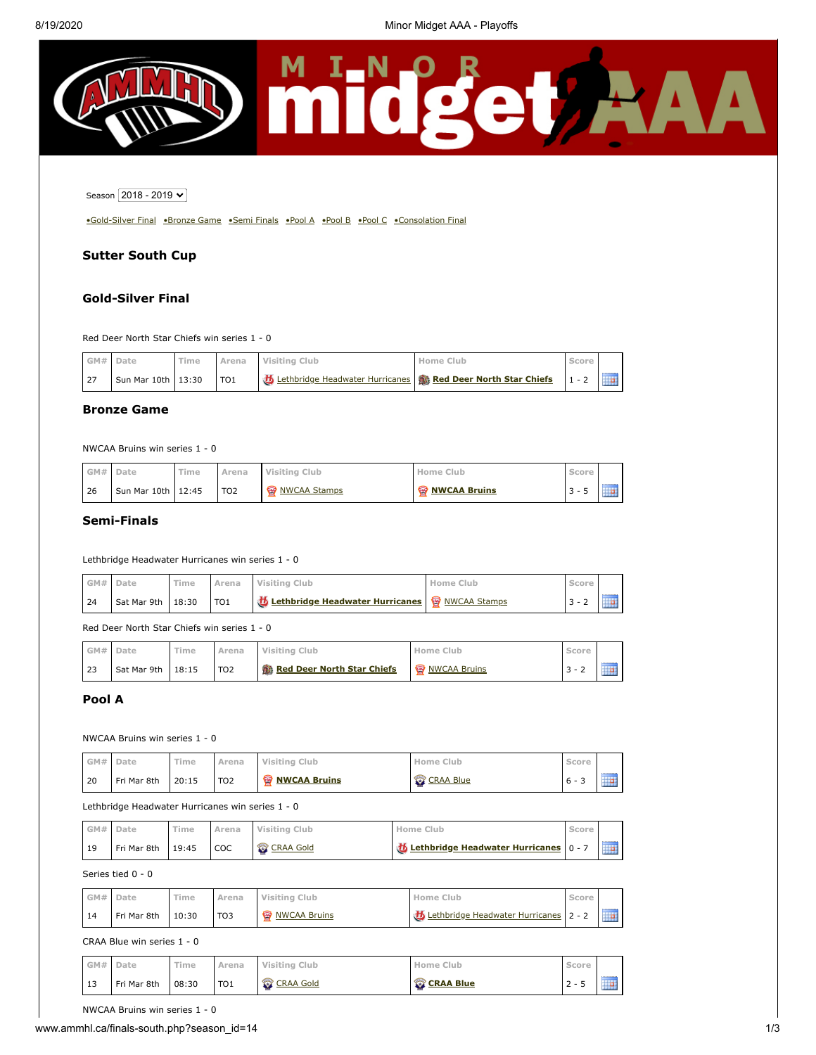

Season 2018 - 2019 V

[•Gold-Silver Final](#page-0-0) [•Bronze Game](#page-0-1) [•Semi Finals](#page-0-2) [•Pool A](#page-0-3) [•Pool B](#page-1-0) [•Pool C](#page-1-1) •Consolation Final

# **Sutter South Cup**

## <span id="page-0-0"></span>**Gold-Silver Final**

Red Deer North Star Chiefs win series 1 - 0

|     | GM# Date           | Time | Arena           | Visiting Club                                                           | Home Club | Score |  |
|-----|--------------------|------|-----------------|-------------------------------------------------------------------------|-----------|-------|--|
| 127 | Sun Mar 10th 13:30 |      | TO <sub>1</sub> | Lethbridge Headwater Hurricanes <b>&amp; Red Deer North Star Chiefs</b> |           |       |  |

## <span id="page-0-1"></span>**Bronze Game**

NWCAA Bruins win series 1 - 0

|     | GM# Date | Time                 | Arena           | Visiting Club | Home Club             | Score |             |
|-----|----------|----------------------|-----------------|---------------|-----------------------|-------|-------------|
| -26 |          | Sun Mar 10th   12:45 | TO <sub>2</sub> | NWCAA Stamps  | <b>W</b> NWCAA Bruins | 3 -   | 10000000000 |

### <span id="page-0-2"></span>**Semi-Finals**

#### Lethbridge Headwater Hurricanes win series 1 - 0

| GM#  | Date                | Time |                 | Arena Visiting Club                                     | Home Club | Score |             |
|------|---------------------|------|-----------------|---------------------------------------------------------|-----------|-------|-------------|
| l 24 | Sat Mar 9th $18:30$ |      | TO <sub>1</sub> | <b>b</b> Lethbridge Headwater Hurricanes & NWCAA Stamps |           |       | 11111111111 |

Red Deer North Star Chiefs win series 1 - 0

|    | GM# Date    | Time  | Arena           | Visiting Club              | Home Club             | Score  |             |  |
|----|-------------|-------|-----------------|----------------------------|-----------------------|--------|-------------|--|
| 23 | Sat Mar 9th | 18:15 | TO <sub>2</sub> | Red Deer North Star Chiefs | <b>W</b> NWCAA Bruins | $\sim$ | 11111111111 |  |

# <span id="page-0-3"></span>**Pool A**

### NWCAA Bruins win series 1 - 0

| GM# Date |             | Time  | Arena           | Visiting Club        | Home Club        | Score           |  |
|----------|-------------|-------|-----------------|----------------------|------------------|-----------------|--|
| l 20     | Fri Mar 8th | 20:15 | TO <sub>2</sub> | <b>WANCAA Bruins</b> | <b>CRAA Blue</b> | $\sim$<br>$6 -$ |  |

#### Lethbridge Headwater Hurricanes win series 1 - 0

| GM# Date |             | Time  | Arena      | Visiting Club    | Home Club                                      | Score |  |
|----------|-------------|-------|------------|------------------|------------------------------------------------|-------|--|
| 119      | Fri Mar 8th | 19:45 | <b>COC</b> | <b>CRAA Gold</b> | <b>芯 Lethbridge Headwater Hurricanes</b> 0 - 7 |       |  |

### Series tied 0 - 0

| GM# | Date        | 'ime  | Arena           | Visiting Club         | <b>Home Club</b>                      | Score |             |
|-----|-------------|-------|-----------------|-----------------------|---------------------------------------|-------|-------------|
| 14  | Fri Mar 8th | 10:30 | TO <sub>3</sub> | <b>W</b> NWCAA Bruins | Lethbridge Headwater Hurricanes 2 - 2 |       | 11111111111 |

#### CRAA Blue win series 1 - 0

|    | GM# Date    | ïme   | Arena           | Visiting Club    | Home Club        | Score  |             |
|----|-------------|-------|-----------------|------------------|------------------|--------|-------------|
| 13 | Fri Mar 8th | 08:30 | TO <sub>1</sub> | <b>CRAA Gold</b> | <b>CRAA Blue</b> | $\sim$ | 10000000000 |

NWCAA Bruins win series 1 - 0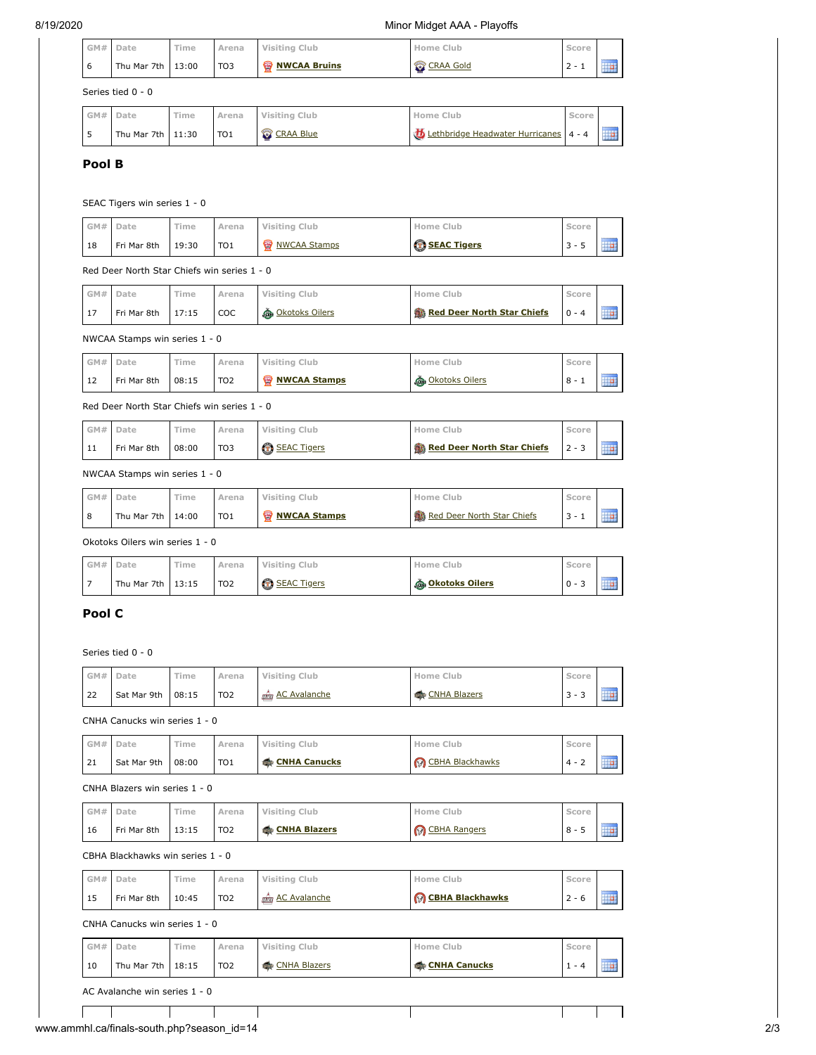| GM# | Date                | Time | Arena           | Visiting Club      | Home Club        | Score  |             |
|-----|---------------------|------|-----------------|--------------------|------------------|--------|-------------|
| 6   | Thu Mar 7th $13:00$ |      | TO <sub>3</sub> | <b>WCAA Bruins</b> | <b>CRAA Gold</b> | $\sim$ | 11111111111 |
|     | Series tied 0 - 0   |      |                 |                    |                  |        |             |

| GM# | Date                | Time | Arena           | Visiting Club    | Home Club                             | Score |                           |
|-----|---------------------|------|-----------------|------------------|---------------------------------------|-------|---------------------------|
|     | Thu Mar 7th $11:30$ |      | TO <sub>1</sub> | <b>CRAA Blue</b> | Lethbridge Headwater Hurricanes 4 - 4 |       | 11111111111<br><b>Tip</b> |

# <span id="page-1-0"></span>**Pool B**

### SEAC Tigers win series 1 - 0

| GM# | Date        | Time  | Arena           | Visiting Club         | Home Club            | Score |         |
|-----|-------------|-------|-----------------|-----------------------|----------------------|-------|---------|
| 18  | Fri Mar 8th | 19:30 | TO <sub>1</sub> | <b>W</b> NWCAA Stamps | <b>C</b> SEAC Tigers | $3 -$ | <b></b> |

# Red Deer North Star Chiefs win series 1 - 0

| GM# Date |             | Time  | Arena | Visiting Club           | Home Club                  | Score        |  |
|----------|-------------|-------|-------|-------------------------|----------------------------|--------------|--|
|          | Fri Mar 8th | 17:15 | COC   | <b>A</b> Okotoks Oilers | Red Deer North Star Chiefs | $\bigcap -4$ |  |

#### NWCAA Stamps win series 1 - 0

| GM# | Date        | Time  | Arena           | Visiting Club         | Home Club              | Score |            |
|-----|-------------|-------|-----------------|-----------------------|------------------------|-------|------------|
| 12  | Fri Mar 8th | 08:15 | TO <sub>2</sub> | <b>W</b> NWCAA Stamps | <b>CANCER ON DIETS</b> | 8 -   | 1111111111 |

### Red Deer North Star Chiefs win series 1 - 0

| GM# | Date        | Time  | <b>\rena</b>    | Visiting Club | lome i<br>Club             | score    |  |
|-----|-------------|-------|-----------------|---------------|----------------------------|----------|--|
| ᆠ   | Fri Mar 8th | 08:00 | TO <sub>3</sub> | SEAC Tigers   | Red Deer North Star Chiefs | $12 - 3$ |  |

### NWCAA Stamps win series 1 - 0

| GM# | Date                | Time | Arena           | Visiting Club         | Home Club                  | icore |  |
|-----|---------------------|------|-----------------|-----------------------|----------------------------|-------|--|
| 8   | Thu Mar 7th $14:00$ |      | TO <sub>1</sub> | <b>W</b> NWCAA Stamps | Red Deer North Star Chiefs |       |  |

Okotoks Oilers win series 1 - 0

| GM# | Date              | Time | Arena           | Visiting Club        | Home Club               | Score                           |  |
|-----|-------------------|------|-----------------|----------------------|-------------------------|---------------------------------|--|
|     | Thu Mar 7th 13:15 |      | TO <sub>2</sub> | <b>B</b> SEAC Tigers | <b>@</b> Okotoks Oilers | $\overline{\phantom{a}}$<br>0 - |  |

# <span id="page-1-1"></span>**Pool C**

Series tied 0 - 0

| GM#    | Date                             | Time  | Arena           | <b>Visiting Club</b> | Home Club                  | Score                          |            |
|--------|----------------------------------|-------|-----------------|----------------------|----------------------------|--------------------------------|------------|
| 22     | Sat Mar 9th                      | 08:15 | TO <sub>2</sub> | nom AC Avalanche     | <b>CNHA Blazers</b>        | $3 - 3$                        |            |
|        | CNHA Canucks win series 1 - 0    |       |                 |                      |                            |                                |            |
| GM#    | Date                             | Time  | Arena           | <b>Visiting Club</b> | Home Club                  | Score                          |            |
| 21     | Sat Mar 9th                      | 08:00 | TO <sub>1</sub> | <b>CNHA Canucks</b>  | <b>B</b> CBHA Blackhawks   | <b>Tip</b><br>$4 - 2$<br>Score |            |
|        | CNHA Blazers win series 1 - 0    |       |                 |                      |                            |                                |            |
| GM#    | Date                             | Time  | Arena           | <b>Visiting Club</b> | Home Club                  |                                |            |
| 16     | Fri Mar 8th                      | 13:15 | TO <sub>2</sub> | <b>CNHA Blazers</b>  | CBHA Rangers               | $8 - 5$                        | <b>Tip</b> |
|        | CBHA Blackhawks win series 1 - 0 |       |                 |                      |                            |                                |            |
| GM#    | Date                             | Time  | Arena           | <b>Visiting Club</b> | Home Club                  | Score                          |            |
| 15     | Fri Mar 8th                      | 10:45 | TO <sub>2</sub> | <b>AC Avalanche</b>  | <b>BIG CBHA Blackhawks</b> | $2 - 6$                        | <b>HP</b>  |
|        | CNHA Canucks win series 1 - 0    |       |                 |                      |                            |                                |            |
| $G$ M# | Date                             | Time  | Arena           | <b>Visiting Club</b> | Home Club                  | Score                          |            |
| 10     | Thu Mar 7th                      | 18:15 | TO <sub>2</sub> | <b>CNHA Blazers</b>  | <b>CNHA Canucks</b>        | $1 - 4$                        | <b>THE</b> |
|        | AC Avalanche win series 1 - 0    |       |                 |                      |                            |                                |            |
|        |                                  |       |                 |                      |                            |                                |            |